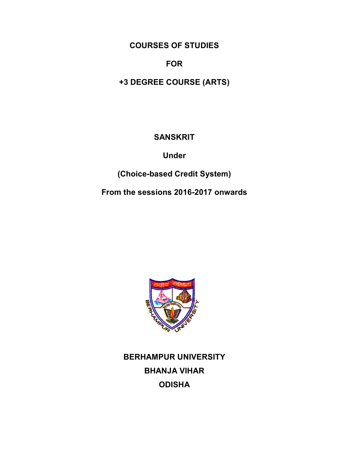# **COURSES OF STUDIES**

## **FOR**

**+3 DEGREE COURSE (ARTS)**

# **SANSKRIT**

**Under**

**(Choice-based Credit System)**

**From the sessions 2016-2017 onwards**



**BERHAMPUR UNIVERSITY BHANJA VIHAR ODISHA**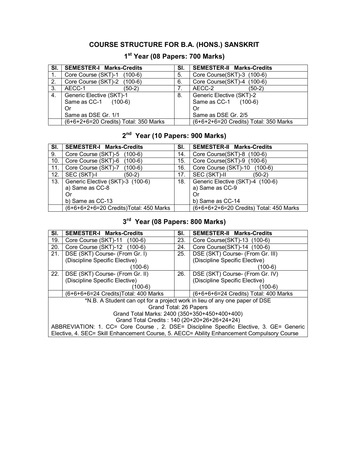## **COURSE STRUCTURE FOR B.A. (HONS.) SANSKRIT**

## **1 st Year (08 Papers: 700 Marks)**

| SI. | <b>SEMESTER-I Marks-Credits</b>       | SI. | <b>SEMESTER-II Marks-Credits</b>      |
|-----|---------------------------------------|-----|---------------------------------------|
|     | Core Course (SKT)-1 (100-6)           | 5.  | Core Course(SKT)-3 (100-6)            |
| 2.  | Core Course (SKT)-2 (100-6)           | 6.  | Core Course(SKT)-4 (100-6)            |
| 3.  | AECC-1<br>(50-2)                      |     | AECC-2<br>(50-2)                      |
| 4.  | Generic Elective (SKT)-1              | 8.  | Generic Elective (SKT)-2              |
|     | Same as CC-1 (100-6)                  |     | Same as CC-1 (100-6)                  |
|     | Or                                    |     | Or                                    |
|     | Same as DSE Gr. 1/1                   |     | Same as DSE Gr. 2/5                   |
|     | (6+6+2+6=20 Credits) Total: 350 Marks |     | (6+6+2+6=20 Credits) Total: 350 Marks |

## **2 nd Year (10 Papers: 900 Marks)**

| SI. | <b>SEMESTER-I Marks-Credits</b>         | SI. | <b>SEMESTER-II Marks-Credits</b>        |
|-----|-----------------------------------------|-----|-----------------------------------------|
| 9.  | Core Course (SKT)-5 (100-6)             | 14. | Core Course(SKT)-8 (100-6)              |
| 10. | Core Course (SKT)-6<br>$(100-6)$        | 15. | Core Course(SKT)-9 (100-6)              |
| 11. | Core Course (SKT)-7<br>$(100-6)$        | 16. | Core Course (SKT)-10 (100-6)            |
| 12. | SEC (SKT)-I<br>(50-2)                   | 17. | SEC (SKT)-II<br>$(50-2)$                |
| 13. | Generic Elective (SKT)-3 (100-6)        | 18. | Generic Elective (SKT)-4 (100-6)        |
|     | a) Same as CC-8                         |     | a) Same as CC-9                         |
|     | Or                                      |     | Or                                      |
|     | b) Same as CC-13                        |     | b) Same as CC-14                        |
|     | (6+6+6+2+6=20 Credits) Total: 450 Marks |     | (6+6+6+2+6=20 Credits) Total: 450 Marks |

### **3 rd Year (08 Papers: 800 Marks)**

| SI.                                                                                    | <b>SEMESTER-I Marks-Credits</b>                                                            | SI. | <b>SEMESTER-II Marks-Credits</b>      |  |
|----------------------------------------------------------------------------------------|--------------------------------------------------------------------------------------------|-----|---------------------------------------|--|
| 19.                                                                                    | Core Course (SKT)-11 (100-6)                                                               | 23. | Core Course(SKT)-13 (100-6)           |  |
| 20.                                                                                    | Core Course (SKT)-12 (100-6)                                                               | 24. | Core Course(SKT)-14 (100-6)           |  |
| 21.                                                                                    | DSE (SKT) Course- (From Gr. I)                                                             | 25. | DSE (SKT) Course- (From Gr. III)      |  |
|                                                                                        | (Discipline Specific Elective)                                                             |     | (Discipline Specific Elective)        |  |
|                                                                                        | (100-6)                                                                                    |     | (100-6)                               |  |
| 22.                                                                                    | DSE (SKT) Course- (From Gr. II)                                                            | 26. | DSE (SKT) Course- (From Gr. IV)       |  |
|                                                                                        | (Discipline Specific Elective)                                                             |     | (Discipline Specific Elective)        |  |
|                                                                                        | (100-6)                                                                                    |     | (100-6)                               |  |
|                                                                                        | (6+6+6+6=24 Credits) Total: 400 Marks                                                      |     | (6+6+6+6=24 Credits) Total: 400 Marks |  |
|                                                                                        | *N.B. A Student can opt for a project work in lieu of any one paper of DSE                 |     |                                       |  |
|                                                                                        | Grand Total: 26 Papers                                                                     |     |                                       |  |
| Grand Total Marks: 2400 (350+350+450+400+400)                                          |                                                                                            |     |                                       |  |
| Grand Total Credits: 140 (20+20+26+26+24+24)                                           |                                                                                            |     |                                       |  |
| ABBREVIATION: 1. CC= Core Course, 2. DSE= Discipline Specific Elective, 3. GE= Generic |                                                                                            |     |                                       |  |
|                                                                                        | Elective, 4. SEC= Skill Enhancement Course, 5. AECC= Ability Enhancement Compulsory Course |     |                                       |  |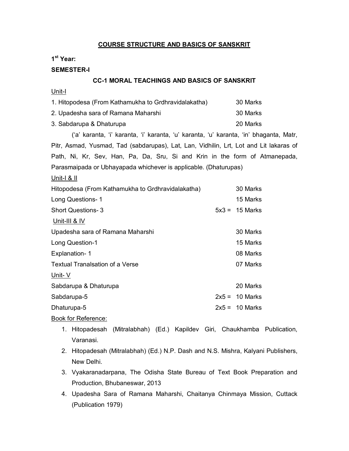### **COURSE STRUCTURE AND BASICS OF SANSKRIT**

### **1 st Year:**

### **SEMESTER-I**

### **CC-1 MORAL TEACHINGS AND BASICS OF SANSKRIT**

Unit-I

| 1. Hitopodesa (From Kathamukha to Grdhravidalakatha) | 30 Marks |
|------------------------------------------------------|----------|
| 2. Upadesha sara of Ramana Maharshi                  | 30 Marks |
| 3. Sabdarupa & Dhaturupa                             | 20 Marks |

('a' karanta, 'i' karanta, 'i' karanta, 'u' karanta, 'u' karanta, 'in' bhaganta, Matr, Pitr, Asmad, Yusmad, Tad (sabdarupas), Lat, Lan, Vidhilin, Lrt, Lot and Lit lakaras of Path, Ni, Kr, Sev, Han, Pa, Da, Sru, Si and Krin in the form of Atmanepada, Parasmaipada or Ubhayapada whichever is applicable. (Dhaturupas)

| Unit- $\vert$ & II                                |                  |
|---------------------------------------------------|------------------|
| Hitopodesa (From Kathamukha to Grdhravidalakatha) | 30 Marks         |
| Long Questions-1                                  | 15 Marks         |
| <b>Short Questions-3</b>                          | $5x3 = 15$ Marks |
| Unit-III & IV                                     |                  |
| Upadesha sara of Ramana Maharshi                  | 30 Marks         |
| Long Question-1                                   | 15 Marks         |
| Explanation-1                                     | 08 Marks         |
| <b>Textual Tranalsation of a Verse</b>            | 07 Marks         |
| Unit-V                                            |                  |
| Sabdarupa & Dhaturupa                             | 20 Marks         |
| Sabdarupa-5                                       | $2x5 = 10$ Marks |
| Dhaturupa-5                                       | $2x5 = 10$ Marks |

- 1. Hitopadesah (Mitralabhah) (Ed.) Kapildev Giri, Chaukhamba Publication, Varanasi.
- 2. Hitopadesah (Mitralabhah) (Ed.) N.P. Dash and N.S. Mishra, Kalyani Publishers, New Delhi.
- 3. Vyakaranadarpana, The Odisha State Bureau of Text Book Preparation and Production, Bhubaneswar, 2013
- 4. Upadesha Sara of Ramana Maharshi, Chaitanya Chinmaya Mission, Cuttack (Publication 1979)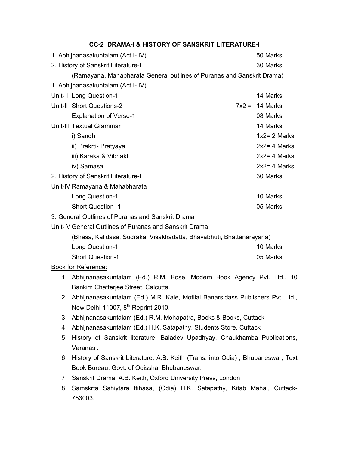|                                                                      | 1. Abhijnanasakuntalam (Act I- IV)                                                |  | 50 Marks         |
|----------------------------------------------------------------------|-----------------------------------------------------------------------------------|--|------------------|
|                                                                      | 2. History of Sanskrit Literature-I                                               |  | 30 Marks         |
|                                                                      | (Ramayana, Mahabharata General outlines of Puranas and Sanskrit Drama)            |  |                  |
|                                                                      | 1. Abhijnanasakuntalam (Act I- IV)                                                |  |                  |
|                                                                      | Unit- I Long Question-1                                                           |  | 14 Marks         |
|                                                                      | Unit-II Short Questions-2                                                         |  | $7x2 = 14$ Marks |
|                                                                      | <b>Explanation of Verse-1</b>                                                     |  | 08 Marks         |
|                                                                      | Unit-III Textual Grammar                                                          |  | 14 Marks         |
|                                                                      | i) Sandhi                                                                         |  | $1x2 = 2$ Marks  |
|                                                                      | ii) Prakrti- Pratyaya                                                             |  | $2x2 = 4$ Marks  |
|                                                                      | iii) Karaka & Vibhakti                                                            |  | $2x2 = 4$ Marks  |
|                                                                      | iv) Samasa                                                                        |  | $2x2 = 4$ Marks  |
|                                                                      | 2. History of Sanskrit Literature-I                                               |  | 30 Marks         |
|                                                                      | Unit-IV Ramayana & Mahabharata                                                    |  |                  |
|                                                                      | Long Question-1                                                                   |  | 10 Marks         |
|                                                                      | <b>Short Question-1</b>                                                           |  | 05 Marks         |
|                                                                      | 3. General Outlines of Puranas and Sanskrit Drama                                 |  |                  |
|                                                                      | Unit- V General Outlines of Puranas and Sanskrit Drama                            |  |                  |
| (Bhasa, Kalidasa, Sudraka, Visakhadatta, Bhavabhuti, Bhattanarayana) |                                                                                   |  |                  |
|                                                                      | Long Question-1                                                                   |  | 10 Marks         |
|                                                                      | <b>Short Question-1</b>                                                           |  | 05 Marks         |
|                                                                      | Book for Reference:                                                               |  |                  |
|                                                                      | 1. Abhijnanasakuntalam (Ed.) R.M. Bose, Modern Book Agency Pvt. Ltd., 10          |  |                  |
|                                                                      | Bankim Chatterjee Street, Calcutta.                                               |  |                  |
|                                                                      | 2. Abhijnanasakuntalam (Ed.) M.R. Kale, Motilal Banarsidass Publishers Pvt. Ltd., |  |                  |
|                                                                      | New Delhi-11007, 8 <sup>th</sup> Reprint-2010.                                    |  |                  |
| 3.                                                                   | Abhijnanasakuntalam (Ed.) R.M. Mohapatra, Books & Books, Cuttack                  |  |                  |
| 4.                                                                   | Abhijnanasakuntalam (Ed.) H.K. Satapathy, Students Store, Cuttack                 |  |                  |
| 5.                                                                   | History of Sanskrit literature, Baladev Upadhyay, Chaukhamba Publications,        |  |                  |
|                                                                      | Varanasi.                                                                         |  |                  |
| 6.                                                                   | History of Sanskrit Literature, A.B. Keith (Trans. into Odia), Bhubaneswar, Text  |  |                  |
|                                                                      | Book Bureau, Govt. of Odissha, Bhubaneswar.                                       |  |                  |
|                                                                      | 7. Sanskrit Drama, A.B. Keith, Oxford University Press, London                    |  |                  |
|                                                                      | 8. Samskrta Sahiytara Itihasa, (Odia) H.K. Satapathy, Kitab Mahal, Cuttack-       |  |                  |
|                                                                      | 753003.                                                                           |  |                  |

### **CC-2 DRAMA-I & HISTORY OF SANSKRIT LITERATURE-I**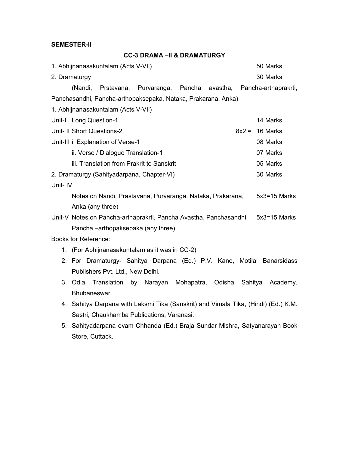### **SEMESTER-II**

## **CC-3 DRAMA –II & DRAMATURGY**

|         | 1. Abhijnanasakuntalam (Acts V-VII)                                                | 50 Marks     |
|---------|------------------------------------------------------------------------------------|--------------|
|         | 2. Dramaturgy                                                                      | 30 Marks     |
|         | (Nandi,<br>Prstavana, Purvaranga, Pancha avastha, Pancha-arthaprakrti,             |              |
|         | Panchasandhi, Pancha-arthopaksepaka, Nataka, Prakarana, Anka)                      |              |
|         | 1. Abhijnanasakuntalam (Acts V-VII)                                                |              |
|         | Unit-I Long Question-1                                                             | 14 Marks     |
|         | Unit- II Short Questions-2<br>$8x2 =$                                              | 16 Marks     |
|         | Unit-III i. Explanation of Verse-1                                                 | 08 Marks     |
|         | ii. Verse / Dialogue Translation-1                                                 | 07 Marks     |
|         | iii. Translation from Prakrit to Sanskrit                                          | 05 Marks     |
|         | 2. Dramaturgy (Sahityadarpana, Chapter-VI)                                         | 30 Marks     |
| Unit-IV |                                                                                    |              |
|         | Notes on Nandi, Prastavana, Purvaranga, Nataka, Prakarana,                         | 5x3=15 Marks |
|         | Anka (any three)                                                                   |              |
|         | Unit-V Notes on Pancha-arthaprakrti, Pancha Avastha, Panchasandhi, 5x3=15 Marks    |              |
|         | Pancha-arthopaksepaka (any three)                                                  |              |
|         | <b>Books for Reference:</b>                                                        |              |
|         | 1. (For Abhijnanasakuntalam as it was in CC-2)                                     |              |
|         | 2. For Dramaturgy- Sahitya Darpana (Ed.) P.V. Kane, Motilal Banarsidass            |              |
|         | Publishers Pvt. Ltd., New Delhi.                                                   |              |
|         | Translation<br>Narayan Mohapatra, Odisha<br>3. Odia<br>by<br>Sahitya               | Academy,     |
|         | Bhubaneswar.                                                                       |              |
|         | 4. Sahitya Darpana with Laksmi Tika (Sanskrit) and Vimala Tika, (Hindi) (Ed.) K.M. |              |
|         | Sastri, Chaukhamba Publications, Varanasi.                                         |              |
|         | 5. Sahityadarpana evam Chhanda (Ed.) Braja Sundar Mishra, Satyanarayan Book        |              |

Store, Cuttack.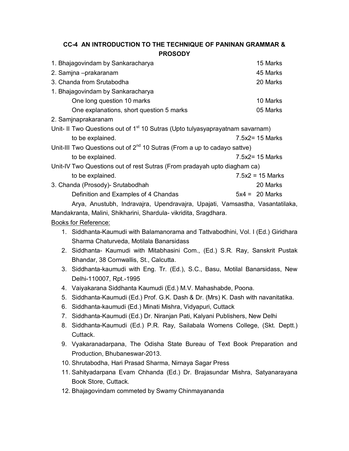| CC-4 AN INTRODUCTION TO THE TECHNIQUE OF PANINAN GRAMMAR &                                |                    |
|-------------------------------------------------------------------------------------------|--------------------|
| <b>PROSODY</b>                                                                            |                    |
| 1. Bhajagovindam by Sankaracharya                                                         | 15 Marks           |
| 2. Samjna -prakaranam                                                                     | 45 Marks           |
| 3. Chanda from Srutabodha                                                                 | 20 Marks           |
| 1. Bhajagovindam by Sankaracharya                                                         |                    |
| One long question 10 marks                                                                | 10 Marks           |
| One explanations, short question 5 marks                                                  | 05 Marks           |
| 2. Samjnaprakaranam                                                                       |                    |
| Unit- II Two Questions out of 1 <sup>st</sup> 10 Sutras (Upto tulyasyaprayatnam savarnam) |                    |
| to be explained.                                                                          | $7.5x2 = 15$ Marks |
| Unit-III Two Questions out of $2^{nd}$ 10 Sutras (From a up to cadayo sattve)             |                    |
| to be explained.                                                                          | $7.5x2 = 15$ Marks |
| Unit-IV Two Questions out of rest Sutras (From pradayah upto diagham ca)                  |                    |
| to be explained.                                                                          | $7.5x2 = 15$ Marks |
| 3. Chanda (Prosody)- Srutabodhah                                                          | 20 Marks           |
| Definition and Examples of 4 Chandas                                                      | $5x4 = 20$ Marks   |
| Arya, Anustubh, Indravajra, Upendravajra, Upajati, Vamsastha, Vasantatilaka,              |                    |
| Mandakranta, Malini, Shikharini, Shardula- vikridita, Sragdhara.                          |                    |
| Books for Reference:                                                                      |                    |
| 1. Siddhanta-Kaumudi with Balamanorama and Tattvabodhini, Vol. I (Ed.) Giridhara          |                    |
| Sharma Chaturveda, Motilala Banarsidass                                                   |                    |
| 2. Siddhanta- Kaumudi with Mitabhasini Com., (Ed.) S.R. Ray, Sanskrit Pustak              |                    |
| Bhandar, 38 Cornwallis, St., Calcutta.                                                    |                    |
| 3. Siddhanta-kaumudi with Eng. Tr. (Ed.), S.C., Basu, Motilal Banarsidass, New            |                    |

- Delhi-110007, Rpt.-1995
- 4. Vaiyakarana Siddhanta Kaumudi (Ed.) M.V. Mahashabde, Poona.
- 5. Siddhanta-Kaumudi (Ed.) Prof. G.K. Dash & Dr. (Mrs) K. Dash with navanitatika.
- 6. Siddhanta-kaumudi (Ed.) Minati Mishra, Vidyapuri, Cuttack
- 7. Siddhanta-Kaumudi (Ed.) Dr. Niranjan Pati, Kalyani Publishers, New Delhi
- 8. Siddhanta-Kaumudi (Ed.) P.R. Ray, Sailabala Womens College, (Skt. Deptt.) Cuttack.
- 9. Vyakaranadarpana, The Odisha State Bureau of Text Book Preparation and Production, Bhubaneswar-2013.
- 10. Shrutabodha, Hari Prasad Sharma, Nirnaya Sagar Press
- 11. Sahityadarpana Evam Chhanda (Ed.) Dr. Brajasundar Mishra, Satyanarayana Book Store, Cuttack.
- 12. Bhajagovindam commeted by Swamy Chinmayananda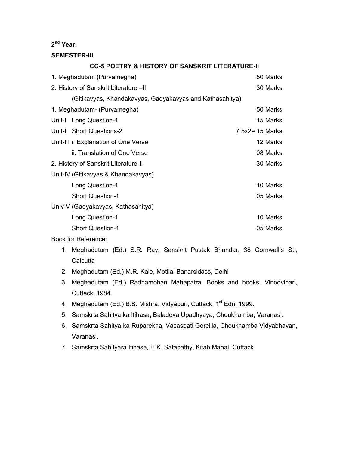### **2 nd Year:**

#### **SEMESTER-III**

### **CC-5 POETRY & HISTORY OF SANSKRIT LITERATURE-II**

| 1. Meghadutam (Purvamegha)                               | 50 Marks           |
|----------------------------------------------------------|--------------------|
| 2. History of Sanskrit Literature -II                    | 30 Marks           |
| (Gitikavyas, Khandakavyas, Gadyakavyas and Kathasahitya) |                    |
| 1. Meghadutam- (Purvamegha)                              | 50 Marks           |
| Unit-I Long Question-1                                   | 15 Marks           |
| Unit-II Short Questions-2                                | $7.5x2 = 15$ Marks |
| Unit-III i. Explanation of One Verse                     | 12 Marks           |
| ii. Translation of One Verse                             | 08 Marks           |
| 2. History of Sanskrit Literature-II                     | 30 Marks           |
| Unit-IV (Gitikavyas & Khandakavyas)                      |                    |
| Long Question-1                                          | 10 Marks           |
| <b>Short Question-1</b>                                  | 05 Marks           |
| Univ-V (Gadyakavyas, Kathasahitya)                       |                    |
| Long Question-1                                          | 10 Marks           |
| <b>Short Question-1</b>                                  | 05 Marks           |
|                                                          |                    |

- 1. Meghadutam (Ed.) S.R. Ray, Sanskrit Pustak Bhandar, 38 Cornwallis St., **Calcutta**
- 2. Meghadutam (Ed.) M.R. Kale, Motilal Banarsidass, Delhi
- 3. Meghadutam (Ed.) Radhamohan Mahapatra, Books and books, Vinodvihari, Cuttack, 1984.
- 4. Meghadutam (Ed.) B.S. Mishra, Vidyapuri, Cuttack, 1<sup>st</sup> Edn. 1999.
- 5. Samskrta Sahitya ka Itihasa, Baladeva Upadhyaya, Choukhamba, Varanasi.
- 6. Samskrta Sahitya ka Ruparekha, Vacaspati Goreilla, Choukhamba Vidyabhavan, Varanasi.
- 7. Samskrta Sahityara Itihasa, H.K. Satapathy, Kitab Mahal, Cuttack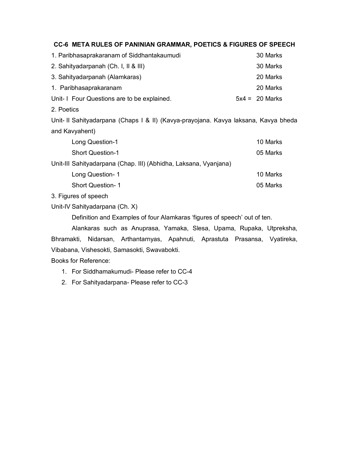### **CC-6 META RULES OF PANINIAN GRAMMAR, POETICS & FIGURES OF SPEECH**

| 1. Paribhasaprakaranam of Siddhantakaumudi                                          | 30 Marks         |
|-------------------------------------------------------------------------------------|------------------|
| 2. Sahityadarpanah (Ch. I, II & III)                                                | 30 Marks         |
| 3. Sahityadarpanah (Alamkaras)                                                      | 20 Marks         |
| 1. Paribhasaprakaranam                                                              | 20 Marks         |
| Unit- I Four Questions are to be explained.                                         | $5x4 = 20$ Marks |
| 2. Poetics                                                                          |                  |
| Unit- Il Sahityadarpana (Chaps I & II) (Kavya-prayojana. Kavya laksana, Kavya bheda |                  |
| and Kavyahent)                                                                      |                  |
| Long Question-1                                                                     | 10 Marks         |
| <b>Short Question-1</b>                                                             | 05 Marks         |
| Unit-III Sahityadarpana (Chap. III) (Abhidha, Laksana, Vyanjana)                    |                  |
| Long Question-1                                                                     | 10 Marks         |
| <b>Short Question-1</b>                                                             | 05 Marks         |
| 3. Figures of speech                                                                |                  |

Unit-IV Sahityadarpana (Ch. X)

Definition and Examples of four Alamkaras 'figures of speech' out of ten.

Alankaras such as Anuprasa, Yamaka, Slesa, Upama, Rupaka, Utpreksha, Bhramakti, Nidarsan, Arthantarnyas, Apahnuti, Aprastuta Prasansa, Vyatireka, Vibabana, Vishesokti, Samasokti, Swavabokti.

- 1. For Siddhamakumudi- Please refer to CC-4
- 2. For Sahityadarpana- Please refer to CC-3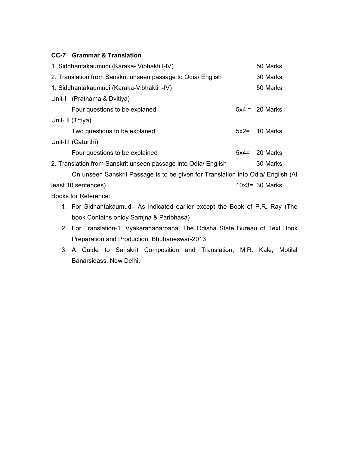### **CC-7 Grammar & Translation**

| 1. Siddhantakaumudi (Karaka- Vibhakti I-IV)                                      |        | 50 Marks          |
|----------------------------------------------------------------------------------|--------|-------------------|
| 2. Translation from Sanskrit unseen passage to Odia/ English                     |        | 30 Marks          |
| 1. Siddhantakaumudi (Karaka-Vibhakti I-IV)                                       |        | 50 Marks          |
| Unit-I (Prathama & Dvitiya)                                                      |        |                   |
| Four questions to be explaned                                                    |        | $5x4 = 20$ Marks  |
| Unit- II (Trtiya)                                                                |        |                   |
| Two questions to be explaned                                                     | $5x2=$ | 10 Marks          |
| Unit-III (Caturthi)                                                              |        |                   |
| Four questions to be explained                                                   |        | $5x4 = 20$ Marks  |
| 2. Translation from Sanskrit unseen passage into Odia/ English                   |        | 30 Marks          |
| On unseen Sanskrit Passage is to be given for Translation into Odia/ English (At |        |                   |
| least 10 sentences)                                                              |        | $10x3 = 30$ Marks |
| Books for Reference:                                                             |        |                   |
| 1. For Sidhantakaumudi- As indicated earlier except the Book of P.R. Ray (The    |        |                   |

- book Contains onloy Samjna & Paribhasa) 2. For Translation-1. Vyakaranadarpana, The Odisha State Bureau of Text Book
- Preparation and Production, Bhubaneswar-2013
- 3. A Guide to Sanskrit Composition and Translation, M.R. Kale, Motilal Banarsidass, New Delhi.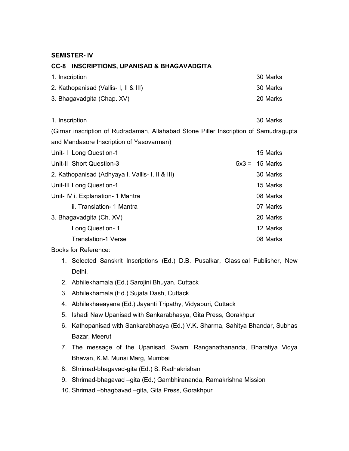### **SEMISTER- IV**

### **CC-8 INSCRIPTIONS, UPANISAD & BHAGAVADGITA**

| 1. Inscription                        | 30 Marks |
|---------------------------------------|----------|
| 2. Kathopanisad (Vallis- I, II & III) | 30 Marks |
| 3. Bhagavadgita (Chap. XV)            | 20 Marks |

1. Inscription 30 Marks

(Girnar inscription of Rudradaman, Allahabad Stone Piller Inscription of Samudragupta and Mandasore Inscription of Yasovarman)

| Unit- I Long Question-1                          | 15 Marks         |
|--------------------------------------------------|------------------|
| Unit-II Short Question-3                         | $5x3 = 15$ Marks |
| 2. Kathopanisad (Adhyaya I, Vallis- I, II & III) | 30 Marks         |
| Unit-III Long Question-1                         | 15 Marks         |
| Unit- IV i. Explanation- 1 Mantra                | 08 Marks         |
| ii. Translation- 1 Mantra                        | 07 Marks         |
| 3. Bhagavadgita (Ch. XV)                         | 20 Marks         |
| Long Question-1                                  | 12 Marks         |
| <b>Translation-1 Verse</b>                       | 08 Marks         |

- 1. Selected Sanskrit Inscriptions (Ed.) D.B. Pusalkar, Classical Publisher, New Delhi.
- 2. Abhilekhamala (Ed.) Sarojini Bhuyan, Cuttack
- 3. Abhilekhamala (Ed.) Sujata Dash, Cuttack
- 4. Abhilekhaeayana (Ed.) Jayanti Tripathy, Vidyapuri, Cuttack
- 5. Ishadi Naw Upanisad with Sankarabhasya, Gita Press, Gorakhpur
- 6. Kathopanisad with Sankarabhasya (Ed.) V.K. Sharma, Sahitya Bhandar, Subhas Bazar, Meerut
- 7. The message of the Upanisad, Swami Ranganathananda, Bharatiya Vidya Bhavan, K.M. Munsi Marg, Mumbai
- 8. Shrimad-bhagavad-gita (Ed.) S. Radhakrishan
- 9. Shrimad-bhagavad –gita (Ed.) Gambhirananda, Ramakrishna Mission
- 10. Shrimad –bhagbavad –gita, Gita Press, Gorakhpur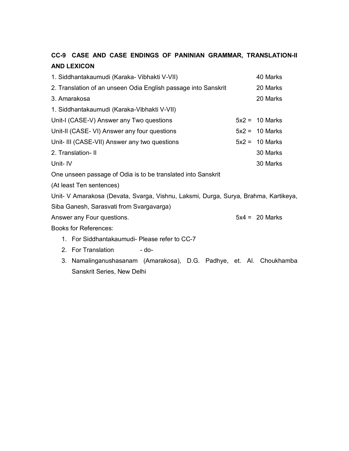# **CC-9 CASE AND CASE ENDINGS OF PANINIAN GRAMMAR, TRANSLATION-II AND LEXICON**

|         | 1. Siddhantakaumudi (Karaka- Vibhakti V-VII)                                        | 40 Marks         |
|---------|-------------------------------------------------------------------------------------|------------------|
|         | 2. Translation of an unseen Odia English passage into Sanskrit                      | 20 Marks         |
|         | 3. Amarakosa                                                                        | 20 Marks         |
|         | 1. Siddhantakaumudi (Karaka-Vibhakti V-VII)                                         |                  |
|         | Unit-I (CASE-V) Answer any Two questions                                            | $5x2 = 10$ Marks |
|         | Unit-II (CASE- VI) Answer any four questions                                        | $5x2 = 10$ Marks |
|         | Unit- III (CASE-VII) Answer any two questions                                       | $5x2 = 10$ Marks |
|         | 2. Translation-II                                                                   | 30 Marks         |
| Unit-IV |                                                                                     | 30 Marks         |
|         | One unseen passage of Odia is to be translated into Sanskrit                        |                  |
|         | (At least Ten sentences)                                                            |                  |
|         | Unit- V Amarakosa (Devata, Svarga, Vishnu, Laksmi, Durga, Surya, Brahma, Kartikeya, |                  |
|         | Siba Ganesh, Sarasvati from Svargavarga)                                            |                  |
|         | Answer any Four questions.                                                          | $5x4 = 20$ Marks |
|         | <b>Books for References:</b>                                                        |                  |
|         | 1. For Siddhantakaumudi- Please refer to CC-7                                       |                  |
|         | 2. For Translation<br>- do-                                                         |                  |
| 3.      | Namalinganushasanam (Amarakosa), D.G. Padhye, et. Al. Choukhamba                    |                  |
|         | Sanskrit Series, New Delhi                                                          |                  |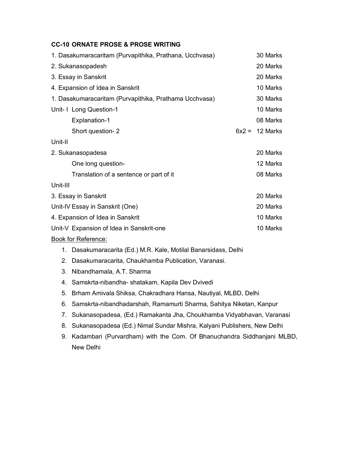### **CC-10 ORNATE PROSE & PROSE WRITING**

| 1. Dasakumaracaritam (Purvapithika, Prathana, Ucchvasa) |          | 30 Marks |
|---------------------------------------------------------|----------|----------|
| 2. Sukanasopadesh                                       |          | 20 Marks |
| 3. Essay in Sanskrit                                    |          | 20 Marks |
| 4. Expansion of Idea in Sanskrit                        |          | 10 Marks |
| 1. Dasakumaracaritam (Purvapithika, Prathama Ucchvasa)  |          | 30 Marks |
| Unit- I Long Question-1                                 |          | 10 Marks |
| Explanation-1                                           |          | 08 Marks |
| Short question-2                                        | $6x^2 =$ | 12 Marks |
| Unit-II                                                 |          |          |
| 2. Sukanasopadesa                                       |          | 20 Marks |
| One long question-                                      |          | 12 Marks |
| Translation of a sentence or part of it                 |          | 08 Marks |
| Unit-III                                                |          |          |
| 3. Essay in Sanskrit                                    |          | 20 Marks |
| Unit-IV Essay in Sanskrit (One)                         |          | 20 Marks |
| 4. Expansion of Idea in Sanskrit                        |          | 10 Marks |
| Unit-V Expansion of Idea in Sanskrit-one                |          | 10 Marks |
|                                                         |          |          |

- 1. Dasakumaracarita (Ed.) M.R. Kale, Motilal Banarsidass, Delhi
- 2. Dasakumaracarita, Chaukhamba Publication, Varanasi.
- 3. Nibandhamala, A.T. Sharma
- 4. Samskrta-nibandha- shatakam, Kapila Dev Dvivedi
- 5. Brham Amivala Shiksa, Chakradhara Hansa, Nautiyal, MLBD, Delhi
- 6. Samskrta-nibandhadarshah, Ramamurti Sharma, Sahitya Niketan, Kanpur
- 7. Sukanasopadesa, (Ed.) Ramakanta Jha, Choukhamba Vidyabhavan, Varanasi
- 8. Sukanasopadesa (Ed.) Nimal Sundar Mishra, Kalyani Publishers, New Delhi
- 9. Kadambari (Purvardham) with the Com. Of Bhanuchandra Siddhanjani MLBD, New Delhi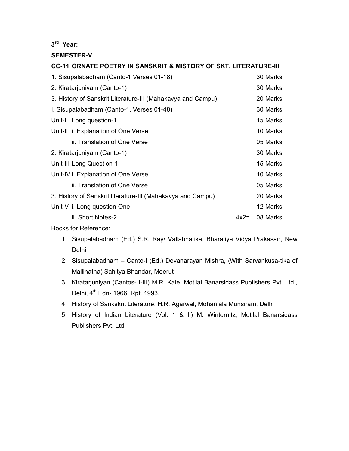### **3 rd Year:**

### **SEMESTER-V**

# **CC-11 ORNATE POETRY IN SANSKRIT & MISTORY OF SKT. LITERATURE-III** 1. Sisupalabadham (Canto-1 Verses 01-18) 30 Marks 2. Kiratarjuniyam (Canto-1) 30 Marks 3. History of Sanskrit Literature-III (Mahakavya and Campu) 20 Marks I. Sisupalabadham (Canto-1, Verses 01-48) 30 Marks Unit-I Long question-1 15 Marks Unit-II i. Explanation of One Verse 10 Marks ii. Translation of One Verse **1988** Contract 105 Marks 2. Kiratarjuniyam (Canto-1) 30 Marks Unit-III Long Question-1 15 Marks Unit-IV i. Explanation of One Verse 10 Marks 10 Marks ii. Translation of One Verse **05 Marks** 05 Marks 3. History of Sanskrit literature-III (Mahakavya and Campu) 20 Marks Unit-V i. Long question-One 12 Marks ii. Short Notes-2 4x2= 08 Marks

- 1. Sisupalabadham (Ed.) S.R. Ray/ Vallabhatika, Bharatiya Vidya Prakasan, New Delhi
- 2. Sisupalabadham Canto-I (Ed.) Devanarayan Mishra, (With Sarvankusa-tika of Mallinatha) Sahitya Bhandar, Meerut
- 3. Kiratarjuniyan (Cantos- I-III) M.R. Kale, Motilal Banarsidass Publishers Pvt. Ltd., Delhi, 4<sup>th</sup> Edn- 1966, Rpt. 1993.
- 4. History of Sankskrit Literature, H.R. Agarwal, Mohanlala Munsiram, Delhi
- 5. History of Indian Literature (Vol. 1 & II) M. Winternitz, Motilal Banarsidass Publishers Pvt. Ltd.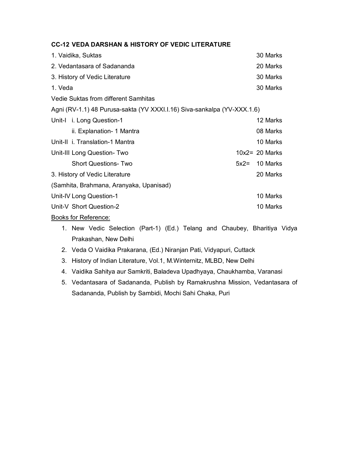| <b>CC-12 VEDA DARSHAN &amp; HISTORY OF VEDIC LITERATURE</b> |  |  |
|-------------------------------------------------------------|--|--|
|-------------------------------------------------------------|--|--|

| 1. Vaidika, Suktas                                                      |        | 30 Marks          |
|-------------------------------------------------------------------------|--------|-------------------|
| 2. Vedantasara of Sadananda                                             |        | 20 Marks          |
| 3. History of Vedic Literature                                          |        | 30 Marks          |
| 1. Veda                                                                 |        | 30 Marks          |
| Vedie Suktas from different Samhitas                                    |        |                   |
| Agni (RV-1.1) 48 Purusa-sakta (YV XXXI.I.16) Siva-sankalpa (YV-XXX.1.6) |        |                   |
| Unit-I i. Long Question-1                                               |        | 12 Marks          |
| ii. Explanation- 1 Mantra                                               |        | 08 Marks          |
| Unit-II i. Translation-1 Mantra                                         |        | 10 Marks          |
| Unit-III Long Question-Two                                              |        | $10x2 = 20$ Marks |
| <b>Short Questions-Two</b>                                              | $5x2=$ | 10 Marks          |
| 3. History of Vedic Literature                                          |        | 20 Marks          |
| (Samhita, Brahmana, Aranyaka, Upanisad)                                 |        |                   |
| Unit-IV Long Question-1                                                 |        | 10 Marks          |
| Unit-V Short Question-2                                                 |        | 10 Marks          |
|                                                                         |        |                   |

Books for Reference:

- 1. New Vedic Selection (Part-1) (Ed.) Telang and Chaubey, Bharitiya Vidya Prakashan, New Delhi
- 2. Veda O Vaidika Prakarana, (Ed.) Niranjan Pati, Vidyapuri, Cuttack
- 3. History of Indian Literature, Vol.1, M.Winternitz, MLBD, New Delhi
- 4. Vaidika Sahitya aur Samkriti, Baladeva Upadhyaya, Chaukhamba, Varanasi
- 5. Vedantasara of Sadananda, Publish by Ramakrushna Mission, Vedantasara of Sadananda, Publish by Sambidi, Mochi Sahi Chaka, Puri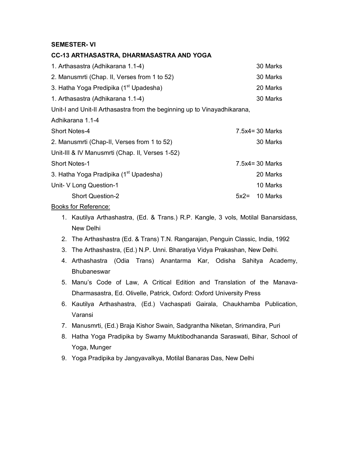### **SEMESTER- VI**

### **CC-13 ARTHASASTRA, DHARMASASTRA AND YOGA**

| 1. Arthasastra (Adhikarana 1.1-4)                                        |        | 30 Marks           |
|--------------------------------------------------------------------------|--------|--------------------|
| 2. Manusmrti (Chap. II, Verses from 1 to 52)                             |        | 30 Marks           |
| 3. Hatha Yoga Predipika (1 <sup>st</sup> Upadesha)                       |        | 20 Marks           |
| 1. Arthasastra (Adhikarana 1.1-4)                                        |        | 30 Marks           |
| Unit-I and Unit-II Arthasastra from the beginning up to Vinayadhikarana, |        |                    |
| Adhikarana 1.1-4                                                         |        |                    |
| <b>Short Notes-4</b>                                                     |        | $7.5x4 = 30$ Marks |
| 2. Manusmrti (Chap-II, Verses from 1 to 52)                              |        | 30 Marks           |
| Unit-III & IV Manusmrti (Chap. II, Verses 1-52)                          |        |                    |
| <b>Short Notes-1</b>                                                     |        | $7.5x4 = 30$ Marks |
| 3. Hatha Yoga Pradipika (1 <sup>st</sup> Upadesha)                       |        | 20 Marks           |
| Unit- V Long Question-1                                                  |        | 10 Marks           |
| <b>Short Question-2</b>                                                  | $5x2=$ | 10 Marks           |

- 1. Kautilya Arthashastra, (Ed. & Trans.) R.P. Kangle, 3 vols, Motilal Banarsidass, New Delhi
- 2. The Arthashastra (Ed. & Trans) T.N. Rangarajan, Penguin Classic, India, 1992
- 3. The Arthashastra, (Ed.) N.P. Unni. Bharatiya Vidya Prakashan, New Delhi.
- 4. Arthashastra (Odia Trans) Anantarma Kar, Odisha Sahitya Academy, **Bhubaneswar**
- 5. Manu's Code of Law, A Critical Edition and Translation of the Manava-Dharmasastra, Ed. Olivelle, Patrick, Oxford: Oxford University Press
- 6. Kautilya Arthashastra, (Ed.) Vachaspati Gairala, Chaukhamba Publication, Varansi
- 7. Manusmrti, (Ed.) Braja Kishor Swain, Sadgrantha Niketan, Srimandira, Puri
- 8. Hatha Yoga Pradipika by Swamy Muktibodhananda Saraswati, Bihar, School of Yoga, Munger
- 9. Yoga Pradipika by Jangyavalkya, Motilal Banaras Das, New Delhi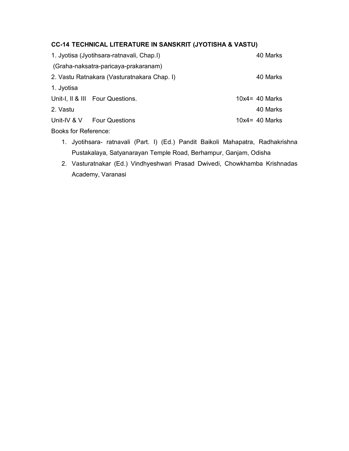### **CC-14 TECHNICAL LITERATURE IN SANSKRIT (JYOTISHA & VASTU)**

|                             | 1. Jyotisa (Jyotihsara-ratnavali, Chap.I)   | 40 Marks          |
|-----------------------------|---------------------------------------------|-------------------|
|                             | (Graha-naksatra-paricaya-prakaranam)        |                   |
|                             | 2. Vastu Ratnakara (Vasturatnakara Chap. I) | 40 Marks          |
| 1. Jyotisa                  |                                             |                   |
|                             | Unit-I, II & III Four Questions.            | $10x4 = 40$ Marks |
| 2. Vastu                    |                                             | 40 Marks          |
|                             | Unit-IV & V Four Questions                  | $10x4 = 40$ Marks |
| <b>Books for Reference:</b> |                                             |                   |

- 1. Jyotihsara- ratnavali (Part. I) (Ed.) Pandit Baikoli Mahapatra, Radhakrishna Pustakalaya, Satyanarayan Temple Road, Berhampur, Ganjam, Odisha
- 2. Vasturatnakar (Ed.) Vindhyeshwari Prasad Dwivedi, Chowkhamba Krishnadas Academy, Varanasi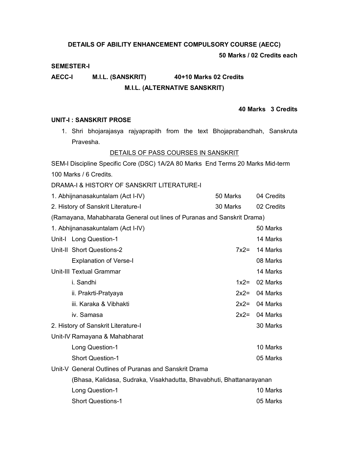### **DETAILS OF ABILITY ENHANCEMENT COMPULSORY COURSE (AECC)**

### **50 Marks / 02 Credits each**

### **SEMESTER-I**

## **AECC-I M.I.L. (SANSKRIT) 40+10 Marks 02 Credits M.I.L. (ALTERNATIVE SANSKRIT)**

### **40 Marks 3 Credits**

### **UNIT-I : SANSKRIT PROSE**

1. Shri bhojarajasya rajyaprapith from the text Bhojaprabandhah, Sanskruta Pravesha.

### DETAILS OF PASS COURSES IN SANSKRIT

SEM-I Discipline Specific Core (DSC) 1A/2A 80 Marks End Terms 20 Marks Mid-term 100 Marks / 6 Credits.

DRAMA-I & HISTORY OF SANSKRIT LITERATURE-I

| 1. Abhijnanasakuntalam (Act I-IV)                                       | 50 Marks | 04 Credits |
|-------------------------------------------------------------------------|----------|------------|
| 2. History of Sanskrit Literature-I                                     | 30 Marks | 02 Credits |
| (Ramayana, Mahabharata General out lines of Puranas and Sanskrit Drama) |          |            |
| 1. Abhijnanasakuntalam (Act I-IV)                                       |          | 50 Marks   |
| Unit-I Long Question-1                                                  |          | 14 Marks   |
| Unit-II Short Questions-2                                               | $7x2=$   | 14 Marks   |
| <b>Explanation of Verse-I</b>                                           |          | 08 Marks   |
| <b>Unit-III Textual Grammar</b>                                         |          | 14 Marks   |
| i. Sandhi                                                               | $1x2 =$  | 02 Marks   |
| ii. Prakrti-Pratyaya                                                    | $2x2=$   | 04 Marks   |
| iii. Karaka & Vibhakti                                                  | $2x2=$   | 04 Marks   |
| iv. Samasa                                                              | $2x2=$   | 04 Marks   |
| 2. History of Sanskrit Literature-I                                     |          | 30 Marks   |
| Unit-IV Ramayana & Mahabharat                                           |          |            |
| Long Question-1                                                         |          | 10 Marks   |
| <b>Short Question-1</b>                                                 |          | 05 Marks   |
| Unit-V General Outlines of Puranas and Sanskrit Drama                   |          |            |
| (Bhasa, Kalidasa, Sudraka, Visakhadutta, Bhavabhuti, Bhattanarayanan    |          |            |
| Long Question-1                                                         |          | 10 Marks   |
| <b>Short Questions-1</b>                                                |          | 05 Marks   |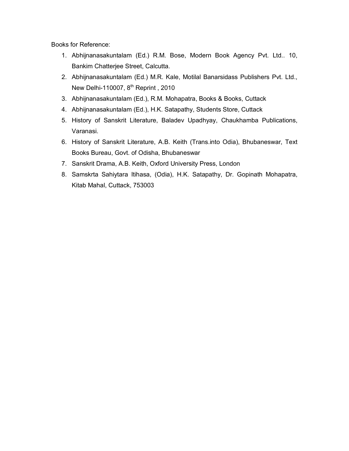- 1. Abhijnanasakuntalam (Ed.) R.M. Bose, Modern Book Agency Pvt. Ltd.. 10, Bankim Chatterjee Street, Calcutta.
- 2. Abhijnanasakuntalam (Ed.) M.R. Kale, Motilal Banarsidass Publishers Pvt. Ltd., New Delhi-110007, 8<sup>th</sup> Reprint, 2010
- 3. Abhijnanasakuntalam (Ed.), R.M. Mohapatra, Books & Books, Cuttack
- 4. Abhijnanasakuntalam (Ed.), H.K. Satapathy, Students Store, Cuttack
- 5. History of Sanskrit Literature, Baladev Upadhyay, Chaukhamba Publications, Varanasi.
- 6. History of Sanskrit Literature, A.B. Keith (Trans.into Odia), Bhubaneswar, Text Books Bureau, Govt. of Odisha, Bhubaneswar
- 7. Sanskrit Drama, A.B. Keith, Oxford University Press, London
- 8. Samskrta Sahiytara Itihasa, (Odia), H.K. Satapathy, Dr. Gopinath Mohapatra, Kitab Mahal, Cuttack, 753003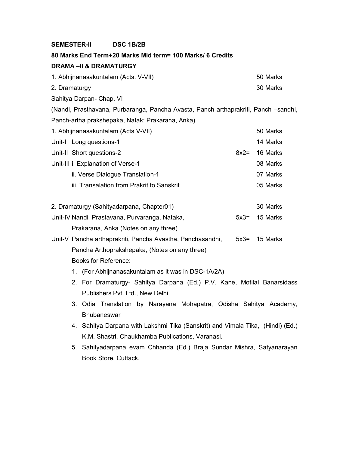### **SEMESTER-II DSC 1B/2B**

### **80 Marks End Term+20 Marks Mid term= 100 Marks/ 6 Credits**

### **DRAMA –II & DRAMATURGY**

| 1. Abhijnanasakuntalam (Acts. V-VII) | 50 Marks |
|--------------------------------------|----------|
| 2. Dramaturgy                        | 30 Marks |
| Sahitya Darpan- Chap. VI             |          |

(Nandi, Prasthavana, Purbaranga, Pancha Avasta, Panch arthaprakriti, Panch –sandhi, Panch-artha prakshepaka, Natak: Prakarana, Anka)

| 1. Abhijnanasakuntalam (Acts V-VII)        | 50 Marks         |
|--------------------------------------------|------------------|
| Unit-I Long questions-1                    | 14 Marks         |
| Unit-II Short questions-2                  | $8x2 = 16$ Marks |
| Unit-III i. Explanation of Verse-1         | 08 Marks         |
| ii. Verse Dialogue Translation-1           | 07 Marks         |
| iii. Transalation from Prakrit to Sanskrit | 05 Marks         |
|                                            |                  |

| 2. Dramaturgy (Sahityadarpana, Chapter01)      | 30 Marks         |
|------------------------------------------------|------------------|
| Unit-IV Nandi, Prastavana, Purvaranga, Nataka, | $5x3 = 15$ Marks |
| Prakarana, Anka (Notes on any three)           |                  |

- Unit-V Pancha arthaprakriti, Pancha Avastha, Panchasandhi, 5x3= 15 Marks Pancha Arthoprakshepaka, (Notes on any three) Books for Reference:
	- 1. (For Abhijnanasakuntalam as it was in DSC-1A/2A)
	- 2. For Dramaturgy- Sahitya Darpana (Ed.) P.V. Kane, Motilal Banarsidass Publishers Pvt. Ltd., New Delhi.
	- 3. Odia Translation by Narayana Mohapatra, Odisha Sahitya Academy, **Bhubaneswar**
	- 4. Sahitya Darpana with Lakshmi Tika (Sanskrit) and Vimala Tika, (Hindi) (Ed.) K.M. Shastri, Chaukhamba Publications, Varanasi.
	- 5. Sahityadarpana evam Chhanda (Ed.) Braja Sundar Mishra, Satyanarayan Book Store, Cuttack.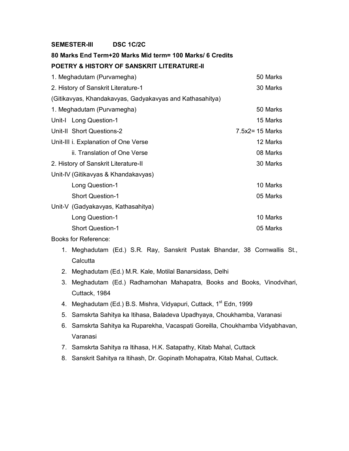### **SEMESTER-III DSC 1C/2C**

## **80 Marks End Term+20 Marks Mid term= 100 Marks/ 6 Credits POETRY & HISTORY OF SANSKRIT LITERATURE-II**

| 1. Meghadutam (Purvamegha)                               | 50 Marks           |
|----------------------------------------------------------|--------------------|
| 2. History of Sanskrit Literature-1                      | 30 Marks           |
| (Gitikavyas, Khandakavyas, Gadyakavyas and Kathasahitya) |                    |
| 1. Meghadutam (Purvamegha)                               | 50 Marks           |
| Unit-I Long Question-1                                   | 15 Marks           |
| Unit-II Short Questions-2                                | $7.5x2 = 15$ Marks |
| Unit-III i. Explanation of One Verse                     | 12 Marks           |
| ii. Translation of One Verse                             | 08 Marks           |
| 2. History of Sanskrit Literature-II                     | 30 Marks           |
| Unit-IV (Gitikavyas & Khandakavyas)                      |                    |
| Long Question-1                                          | 10 Marks           |
| <b>Short Question-1</b>                                  | 05 Marks           |
| Unit-V (Gadyakavyas, Kathasahitya)                       |                    |
| Long Question-1                                          | 10 Marks           |
| <b>Short Question-1</b>                                  | 05 Marks           |
|                                                          |                    |

- 1. Meghadutam (Ed.) S.R. Ray, Sanskrit Pustak Bhandar, 38 Cornwallis St., **Calcutta**
- 2. Meghadutam (Ed.) M.R. Kale, Motilal Banarsidass, Delhi
- 3. Meghadutam (Ed.) Radhamohan Mahapatra, Books and Books, Vinodvihari, Cuttack, 1984
- 4. Meghadutam (Ed.) B.S. Mishra, Vidyapuri, Cuttack, 1<sup>st</sup> Edn, 1999
- 5. Samskrta Sahitya ka Itihasa, Baladeva Upadhyaya, Choukhamba, Varanasi
- 6. Samskrta Sahitya ka Ruparekha, Vacaspati Goreilla, Choukhamba Vidyabhavan, Varanasi
- 7. Samskrta Sahitya ra Itihasa, H.K. Satapathy, Kitab Mahal, Cuttack
- 8. Sanskrit Sahitya ra Itihash, Dr. Gopinath Mohapatra, Kitab Mahal, Cuttack.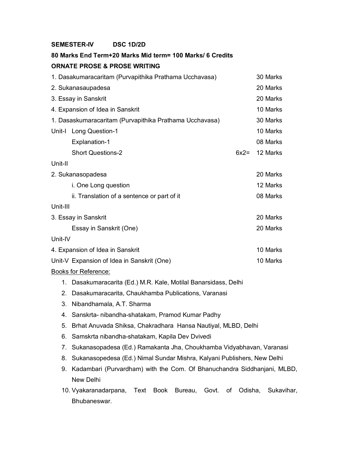### **SEMESTER-IV DSC 1D/2D**

## **80 Marks End Term+20 Marks Mid term= 100 Marks/ 6 Credits ORNATE PROSE & PROSE WRITING**

| 1. Dasakumaracaritam (Purvapithika Prathama Ucchavasa)  |                                                               |        | 30 Marks |  |  |
|---------------------------------------------------------|---------------------------------------------------------------|--------|----------|--|--|
| 2. Sukanasaupadesa                                      |                                                               |        |          |  |  |
| 3. Essay in Sanskrit                                    |                                                               |        | 20 Marks |  |  |
| 4. Expansion of Idea in Sanskrit                        |                                                               |        | 10 Marks |  |  |
| 1. Dasaskumaracaritam (Purvapithika Prathama Ucchavasa) |                                                               |        | 30 Marks |  |  |
|                                                         | Unit-I Long Question-1                                        |        | 10 Marks |  |  |
|                                                         | <b>Explanation-1</b>                                          |        | 08 Marks |  |  |
|                                                         | <b>Short Questions-2</b>                                      | $6x2=$ | 12 Marks |  |  |
| Unit-II                                                 |                                                               |        |          |  |  |
| 2. Sukanasopadesa                                       |                                                               |        |          |  |  |
|                                                         | i. One Long question                                          |        | 12 Marks |  |  |
|                                                         | ii. Translation of a sentence or part of it                   |        | 08 Marks |  |  |
| Unit-III                                                |                                                               |        |          |  |  |
| 3. Essay in Sanskrit                                    |                                                               |        | 20 Marks |  |  |
|                                                         | Essay in Sanskrit (One)                                       |        | 20 Marks |  |  |
| Unit-IV                                                 |                                                               |        |          |  |  |
| 4. Expansion of Idea in Sanskrit                        |                                                               |        | 10 Marks |  |  |
|                                                         | Unit-V Expansion of Idea in Sanskrit (One)                    |        | 10 Marks |  |  |
| <b>Books for Reference:</b>                             |                                                               |        |          |  |  |
| 1.                                                      | Dasakumaracarita (Ed.) M.R. Kale, Motilal Banarsidass, Delhi  |        |          |  |  |
| 2.                                                      | Dasakumaracarita, Chaukhamba Publications, Varanasi           |        |          |  |  |
| 3.                                                      | Nibandhamala, A.T. Sharma                                     |        |          |  |  |
| 4.                                                      | Sanskrta- nibandha-shatakam, Pramod Kumar Padhy               |        |          |  |  |
| 5.                                                      | Brhat Anuvada Shiksa, Chakradhara Hansa Nautiyal, MLBD, Delhi |        |          |  |  |

- 6. Samskrta nibandha-shatakam, Kapila Dev Dvivedi
- 7. Sukanasopadesa (Ed.) Ramakanta Jha, Choukhamba Vidyabhavan, Varanasi
- 8. Sukanasopedesa (Ed.) Nimal Sundar Mishra, Kalyani Publishers, New Delhi
- 9. Kadambari (Purvardham) with the Com. Of Bhanuchandra Siddhanjani, MLBD, New Delhi
- 10. Vyakaranadarpana, Text Book Bureau, Govt. of Odisha, Sukavihar, Bhubaneswar.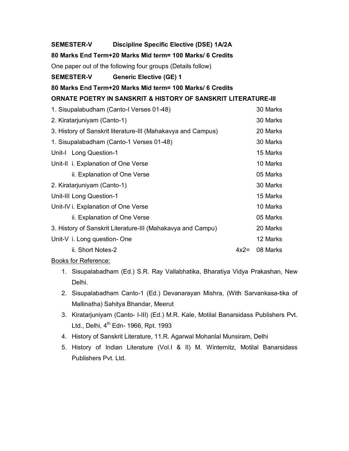### **SEMESTER-V Discipline Specific Elective (DSE) 1A/2A**

### **80 Marks End Term+20 Marks Mid term= 100 Marks/ 6 Credits**

One paper out of the following four groups (Details follow)

### **SEMESTER-V Generic Elective (GE) 1**

**80 Marks End Term+20 Marks Mid term= 100 Marks/ 6 Credits**

### **ORNATE POETRY IN SANSKRIT & HISTORY OF SANSKRIT LITERATURE-III**

| 1. Sisupalabudham (Canto-I Verses 01-48)                     |        |          |
|--------------------------------------------------------------|--------|----------|
| 2. Kiratarjuniyam (Canto-1)                                  |        |          |
| 3. History of Sanskrit literature-III (Mahakavya and Campus) |        |          |
| 1. Sisupalabadham (Canto-1 Verses 01-48)                     |        |          |
| Unit-I Long Question-1                                       |        | 15 Marks |
| Unit-II i. Explanation of One Verse                          |        | 10 Marks |
| ii. Explanation of One Verse                                 |        | 05 Marks |
| 2. Kiratarjuniyam (Canto-1)                                  |        | 30 Marks |
| Unit-III Long Question-1                                     |        | 15 Marks |
| Unit-IV i. Explanation of One Verse                          |        |          |
| ii. Explanation of One Verse                                 |        | 05 Marks |
| 3. History of Sanskrit Literature-III (Mahakavya and Campu)  |        | 20 Marks |
| Unit-V i. Long question- One                                 |        | 12 Marks |
| ii. Short Notes-2                                            | $4x2=$ | 08 Marks |

- 1. Sisupalabadham (Ed.) S.R. Ray Vallabhatika, Bharatiya Vidya Prakashan, New Delhi.
- 2. Sisupalabadham Canto-1 (Ed.) Devanarayan Mishra, (With Sarvankasa-tika of Mallinatha) Sahitya Bhandar, Meerut
- 3. Kiratarjuniyam (Canto- I-III) (Ed.) M.R. Kale, Motilal Banarsidass Publishers Pvt. Ltd., Delhi,  $4<sup>th</sup>$  Edn- 1966, Rpt. 1993
- 4. History of Sanskrit Literature, 11.R. Agarwal Mohanlal Munsiram, Delhi
- 5. History of Indian Literature (Vol.I & II) M. Winternitz, Motilal Banarsidass Publishers Pvt. Ltd.